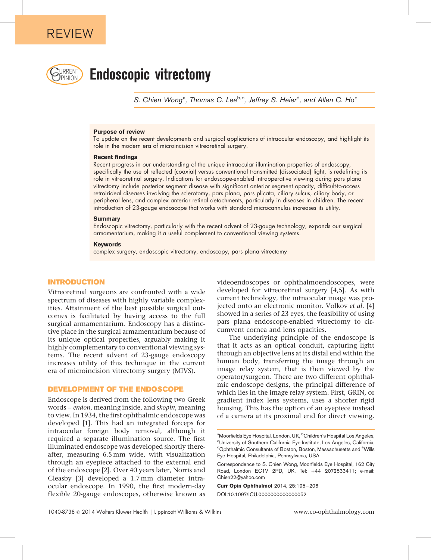

# **Endoscopic vitrectomy**

S. Chien Wong<sup>a</sup>, Thomas C. Lee<sup>b,c</sup>, Jeffrey S. Heier<sup>d</sup>, and Allen C. Ho<sup>e</sup>

#### Purpose of review

To update on the recent developments and surgical applications of intraocular endoscopy, and highlight its role in the modern era of microincision vitreoretinal surgery.

#### Recent findings

Recent progress in our understanding of the unique intraocular illumination properties of endoscopy, specifically the use of reflected (coaxial) versus conventional transmitted (dissociated) light, is redefining its role in vitreoretinal surgery. Indications for endoscope-enabled intraoperative viewing during pars plana vitrectomy include posterior segment disease with significant anterior segment opacity, difficult-to-access retroirideal diseases involving the sclerotomy, pars plana, pars plicata, ciliary sulcus, ciliary body, or peripheral lens, and complex anterior retinal detachments, particularly in diseases in children. The recent introduction of 23-gauge endoscope that works with standard microcannulas increases its utility.

#### **Summary**

Endoscopic vitrectomy, particularly with the recent advent of 23-gauge technology, expands our surgical armamentarium, making it a useful complement to conventional viewing systems.

#### Keywords

complex surgery, endoscopic vitrectomy, endoscopy, pars plana vitrectomy

#### INTRODUCTION

Vitreoretinal surgeons are confronted with a wide spectrum of diseases with highly variable complexities. Attainment of the best possible surgical outcomes is facilitated by having access to the full surgical armamentarium. Endoscopy has a distinctive place in the surgical armamentarium because of its unique optical properties, arguably making it highly complementary to conventional viewing systems. The recent advent of 23-gauge endoscopy increases utility of this technique in the current era of microincision vitrectomy surgery (MIVS).

#### DEVELOPMENT OF THE ENDOSCOPE

Endoscope is derived from the following two Greek words – endon, meaning inside, and skopin, meaning to view. In 1934, the first ophthalmic endoscope was developed [\[1\].](#page-11-0) This had an integrated forceps for intraocular foreign body removal, although it required a separate illumination source. The first illuminated endoscope was developed shortly thereafter, measuring 6.5 mm wide, with visualization through an eyepiece attached to the external end of the endoscope [\[2\].](#page-11-0) Over 40 years later, Norris and Cleasby [\[3\]](#page-11-0) developed a 1.7 mm diameter intraocular endoscope. In 1990, the first modern-day flexible 20-gauge endoscopes, otherwise known as

videoendoscopes or ophthalmoendoscopes, were developed for vitreoretinal surgery [\[4,5\].](#page-11-0) As with current technology, the intraocular image was projected onto an electronic monitor. Volkov et al. [\[4\]](#page-11-0) showed in a series of 23 eyes, the feasibility of using pars plana endoscope-enabled vitrectomy to circumvent cornea and lens opacities.

The underlying principle of the endoscope is that it acts as an optical conduit, capturing light through an objective lens at its distal end within the human body, transferring the image through an image relay system, that is then viewed by the operator/surgeon. There are two different ophthalmic endoscope designs, the principal difference of which lies in the image relay system. First, GRIN, or gradient index lens systems, uses a shorter rigid housing. This has the option of an eyepiece instead of a camera at its proximal end for direct viewing.

Curr Opin Ophthalmol 2014, 25:195–206 DOI:10.1097/ICU.0000000000000052

a<br>Moorfields Eye Hospital, London, UK, <sup>b</sup>Children's Hospital Los Angeles,<br><sup>c</sup>l Inversity of Southern Celifornia Eye Institute, Los Angeles, Celifornia University of Southern California Eye Institute, Los Angeles, California, dOphthalmic Consultants of Boston, Boston, Massachusetts and <sup>e</sup>Wills Eye Hospital, Philadelphia, Pennsylvania, USA

Correspondence to S. Chien Wong, Moorfields Eye Hospital, 162 City Road, London EC1V 2PD, UK. Tel: +44 2072533411; e-mail: [Chien22@yahoo.com](mailto:Chien22@yahoo.com)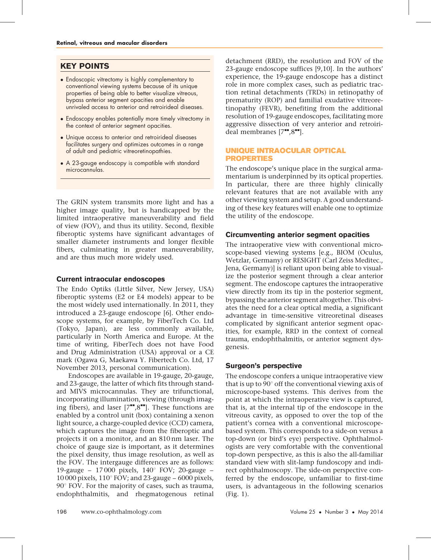## KEY POINTS

- Endoscopic vitrectomy is highly complementary to conventional viewing systems because of its unique properties of being able to better visualize vitreous, bypass anterior segment opacities and enable unrivaled access to anterior and retroirideal diseases.
- Endoscopy enables potentially more timely vitrectomy in the context of anterior segment opacities.
- Unique access to anterior and retroirideal diseases facilitates surgery and optimizes outcomes in a range of adult and pediatric vitreoretinopathies.
- A 23-gauge endoscopy is compatible with standard microcannulas.

The GRIN system transmits more light and has a higher image quality, but is handicapped by the limited intraoperative maneuverability and field of view (FOV), and thus its utility. Second, flexible fiberoptic systems have significant advantages of smaller diameter instruments and longer flexible fibers, culminating in greater maneuverability, and are thus much more widely used.

## Current intraocular endoscopes

The Endo Optiks (Little Silver, New Jersey, USA) fiberoptic systems (E2 or E4 models) appear to be the most widely used internationally. In 2011, they introduced a 23-gauge endoscope [\[6\]](#page-11-0). Other endoscope systems, for example, by FiberTech Co. Ltd (Tokyo, Japan), are less commonly available, particularly in North America and Europe. At the time of writing, FiberTech does not have Food and Drug Administration (USA) approval or a CE mark (Ogawa G, Maekawa Y. Fibertech Co. Ltd, 17 November 2013, personal communication).

Endoscopes are available in 19-gauge, 20-gauge, and 23-gauge, the latter of which fits through standard MIVS microcannulas. They are trifunctional, incorporating illumination, viewing (through imaging fibers), and laser  $[7"$  $[7"$ [,8](#page-11-0)"[\]](#page-11-0). These functions are enabled by a control unit (box) containing a xenon light source, a charge-coupled device (CCD) camera, which captures the image from the fiberoptic and projects it on a monitor, and an 810 nm laser. The choice of gauge size is important, as it determines the pixel density, thus image resolution, as well as the FOV. The intergauge differences are as follows: 19-gauge – 17000 pixels,  $140^{\circ}$  FOV; 20-gauge – 10 000 pixels,  $110^{\circ}$  FOV; and 23-gauge – 6000 pixels,  $90^\circ$  FOV. For the majority of cases, such as trauma, endophthalmitis, and rhegmatogenous retinal detachment (RRD), the resolution and FOV of the 23-gauge endoscope suffices [\[9,10\]](#page-11-0). In the authors' experience, the 19-gauge endoscope has a distinct role in more complex cases, such as pediatric traction retinal detachments (TRDs) in retinopathy of prematurity (ROP) and familial exudative vitreoretinopathy (FEVR), benefiting from the additional resolution of 19-gauge endoscopes, facilitating more aggressive dissection of very anterior and retroirideal membranes  $[7"$  $[7"$ [,8](#page-11-0)"[\].](#page-11-0)

## UNIQUE INTRAOCULAR OPTICAL PROPERTIES

The endoscope's unique place in the surgical armamentarium is underpinned by its optical properties. In particular, there are three highly clinically relevant features that are not available with any other viewing system and setup. A good understanding of these key features will enable one to optimize the utility of the endoscope.

## Circumventing anterior segment opacities

The intraoperative view with conventional microscope-based viewing systems [e.g., BIOM (Oculus, Wetzlar, Germany) or RESIGHT (Carl Zeiss Meditec., Jena, Germany)] is reliant upon being able to visualize the posterior segment through a clear anterior segment. The endoscope captures the intraoperative view directly from its tip in the posterior segment, bypassing the anterior segment altogether. This obviates the need for a clear optical media, a significant advantage in time-sensitive vitreoretinal diseases complicated by significant anterior segment opacities, for example, RRD in the context of corneal trauma, endophthalmitis, or anterior segment dysgenesis.

## Surgeon's perspective

The endoscope confers a unique intraoperative view that is up to  $90^{\circ}$  off the conventional viewing axis of microscope-based systems. This derives from the point at which the intraoperative view is captured, that is, at the internal tip of the endoscope in the vitreous cavity, as opposed to over the top of the patient's cornea with a conventional microscopebased system. This corresponds to a side-on versus a top-down (or bird's eye) perspective. Ophthalmologists are very comfortable with the conventional top-down perspective, as this is also the all-familiar standard view with slit-lamp fundoscopy and indirect ophthalmoscopy. The side-on perspective conferred by the endoscope, unfamiliar to first-time users, is advantageous in the following scenarios (Fig. 1).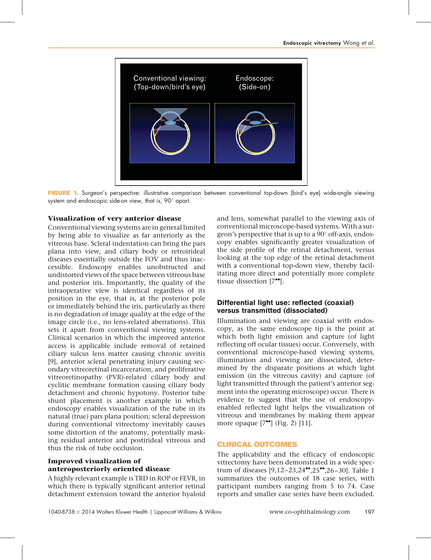

FIGURE 1. Surgeon's perspective: illustrative comparison between conventional top-down (bird's eye) wide-angle viewing system and endoscopic side-on view, that is,  $90^\circ$  apart.

## Visualization of very anterior disease

Conventional viewing systems are in general limited by being able to visualize as far anteriorly as the vitreous base. Scleral indentation can bring the pars plana into view, and ciliary body or retroirideal diseases essentially outside the FOV and thus inaccessible. Endoscopy enables unobstructed and undistorted views of the space between vitreous base and posterior iris. Importantly, the quality of the intraoperative view is identical regardless of its position in the eye, that is, at the posterior pole or immediately behind the iris, particularly as there is no degradation of image quality at the edge of the image circle (i.e., no lens-related aberrations). This sets it apart from conventional viewing systems. Clinical scenarios in which the improved anterior access is applicable include removal of retained ciliary sulcus lens matter causing chronic uveitis [\[9\]](#page-11-0), anterior scleral penetrating injury causing secondary vitreoretinal incarceration, and proliferative vitreoretinopathy (PVR)-related ciliary body and cyclitic membrane formation causing ciliary body detachment and chronic hypotony. Posterior tube shunt placement is another example in which endoscopy enables visualization of the tube in its natural (true) pars plana position; scleral depression during conventional vitrectomy inevitably causes some distortion of the anatomy, potentially masking residual anterior and postirideal vitreous and thus the risk of tube occlusion.

## Improved visualization of anteroposteriorly oriented disease

A highly relevant example is TRD in ROP or FEVR, in which there is typically significant anterior retinal detachment extension toward the anterior hyaloid and lens, somewhat parallel to the viewing axis of conventional microscope-based systems. With a surgeon's perspective that is up to a  $90^{\circ}$  off-axis, endoscopy enables significantly greater visualization of the side profile of the retinal detachment, versus looking at the top edge of the retinal detachment with a conventional top-down view, thereby facilitating more direct and potentially more complete tissue dissection  $[7^{\bullet\bullet}].$  $[7^{\bullet\bullet}].$  $[7^{\bullet\bullet}].$ 

## Differential light use: reflected (coaxial) versus transmitted (dissociated)

Illumination and viewing are coaxial with endoscopy, as the same endoscope tip is the point at which both light emission and capture (of light reflecting off ocular tissues) occur. Conversely, with conventional microscope-based viewing systems, illumination and viewing are dissociated, determined by the disparate positions at which light emission (in the vitreous cavity) and capture (of light transmitted through the patient's anterior segment into the operating microscope) occur. There is evidence to suggest that the use of endoscopyenabled reflected light helps the visualization of vitreous and membranes by making them appear more opaque  $[7^{\bullet\bullet}]$  $[7^{\bullet\bullet}]$  $[7^{\bullet\bullet}]$  (Fig. 2) [\[11\]](#page-11-0).

## CLINICAL OUTCOMES

The applicability and the efficacy of endoscopic vitrectomy have been demonstrated in a wide spectrum of diseases  $[9.12-23.24$ <sup>4</sup>[,25](#page-11-0)<sup> $-8$ </sup>[,26–30\].](#page-11-0) Table 1 summarizes the outcomes of 18 case series, with participant numbers ranging from 5 to 74. Case reports and smaller case series have been excluded.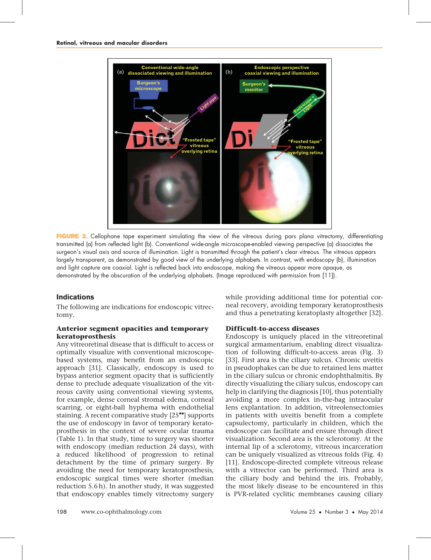

FIGURE 2. Cellophane tape experiment simulating the view of the vitreous during pars plana vitrectomy, differentiating transmitted (a) from reflected light (b). Conventional wide-angle microscope-enabled viewing perspective (a) dissociates the surgeon's visual axis and source of illumination. Light is transmitted through the patient's clear vitreous. The vitreous appears largely transparent, as demonstrated by good view of the underlying alphabets. In contrast, with endoscopy (b), illumination and light capture are coaxial. Light is reflected back into endoscope, making the vitreous appear more opaque, as demonstrated by the obscuration of the underlying alphabets. (Image reproduced with permission from [\[11\]](#page-11-0)).

#### Indications

The following are indications for endoscopic vitrectomy.

### Anterior segment opacities and temporary keratoprosthesis

Any vitreoretinal disease that is difficult to access or optimally visualize with conventional microscopebased systems, may benefit from an endoscopic approach [\[31\]](#page-11-0). Classically, endoscopy is used to bypass anterior segment opacity that is sufficiently dense to preclude adequate visualization of the vitreous cavity using conventional viewing systems, for example, dense corneal stromal edema, corneal scarring, or eight-ball hyphema with endothelial staining. A recent comparative study  $[25"']$  $[25"']$  $[25"']$  supports the use of endoscopy in favor of temporary keratoprosthesis in the context of severe ocular trauma (Table 1). In that study, time to surgery was shorter with endoscopy (median reduction 24 days), with a reduced likelihood of progression to retinal detachment by the time of primary surgery. By avoiding the need for temporary keratoprosthesis, endoscopic surgical times were shorter (median reduction 5.6 h). In another study, it was suggested that endoscopy enables timely vitrectomy surgery while providing additional time for potential corneal recovery, avoiding temporary keratoprosthesis and thus a penetrating keratoplasty altogether [\[32\]](#page-11-0).

#### Difficult-to-access diseases

Endoscopy is uniquely placed in the vitreoretinal surgical armamentarium, enabling direct visualization of following difficult-to-access areas (Fig. 3) [\[33\].](#page-11-0) First area is the ciliary sulcus. Chronic uveitis in pseudophakes can be due to retained lens matter in the ciliary sulcus or chronic endophthalmitis. By directly visualizing the ciliary sulcus, endoscopy can help in clarifying the diagnosis [\[10\],](#page-11-0) thus potentially avoiding a more complex in-the-bag intraocular lens explantation. In addition, vitreolensectomies in patients with uveitis benefit from a complete capsulectomy, particularly in children, which the endoscope can facilitate and ensure through direct visualization. Second area is the sclerotomy. At the internal lip of a sclerotomy, vitreous incarceration can be uniquely visualized as vitreous folds (Fig. 4) [\[11\].](#page-11-0) Endoscope-directed complete vitreous release with a vitrector can be performed. Third area is the ciliary body and behind the iris. Probably, the most likely disease to be encountered in this is PVR-related cyclitic membranes causing ciliary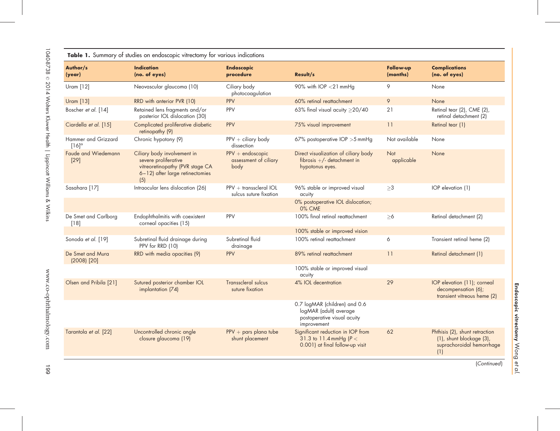|                                     | Table 1. Summary of studies on endoscopic vitrectomy for various indications                                                     |                                                     |                                                                                                       |                       |                                                                                                |
|-------------------------------------|----------------------------------------------------------------------------------------------------------------------------------|-----------------------------------------------------|-------------------------------------------------------------------------------------------------------|-----------------------|------------------------------------------------------------------------------------------------|
| Author/s<br>(year)                  | <b>Indication</b><br>(no. of eyes)                                                                                               | <b>Endoscopic</b><br>procedure                      | Result/s                                                                                              | Follow-up<br>(months) | <b>Complications</b><br>(no. of eyes)                                                          |
| Uram $[12]$                         | Neovascular glaucoma (10)                                                                                                        | Ciliary body<br>photocoagulation                    | 90% with IOP <21 mmHg                                                                                 | 9                     | None                                                                                           |
| <b>Uram</b> [13]                    | RRD with anterior PVR (10)                                                                                                       | PPV                                                 | 60% retinal reattachment                                                                              | 9                     | None                                                                                           |
| Boscher et al. [14]                 | Retained lens fragments and/or<br>posterior IOL dislocation (30)                                                                 | PPV                                                 | 63% final visual acuity $\geq$ 20/40                                                                  | 21                    | Retinal tear (2), CME (2),<br>retinal detachment (2)                                           |
| Ciardella et al. [15]               | Complicated proliferative diabetic<br>retinopathy (9)                                                                            | PPV                                                 | 75% visual improvement                                                                                | 11                    | Retinal tear (1)                                                                               |
| Hammer and Grizzard<br>$[16]^\circ$ | Chronic hypotony (9)                                                                                                             | $PPV + ciliary body$<br>dissection                  | 67% postoperative IOP > 5 mmHg                                                                        | Not available         | None                                                                                           |
| Faude and Wiedemann<br>$[29]$       | Ciliary body involvement in<br>severe proliferative<br>vitreoretinopathy (PVR stage CA<br>6-12) after large retinectomies<br>(5) | $PPV + endoscopic$<br>assessment of ciliary<br>body | Direct visualization of ciliary body<br>fibrosis $+/-$ detachment in<br>hypotonus eyes.               | Not<br>applicable     | None                                                                                           |
| Sasahara [17]                       | Intraocular lens dislocation (26)                                                                                                | $PPV + transcleral IOL$<br>sulcus suture fixation   | 96% stable or improved visual<br>acuity                                                               | >3                    | IOP elevation (1)                                                                              |
|                                     |                                                                                                                                  |                                                     | 0% postoperative IOL dislocation;<br>0% CME                                                           |                       |                                                                                                |
| De Smet and Carlborg<br>$[18]$      | Endophthalmitis with coexistent<br>corneal opacities (15)                                                                        | PPV                                                 | 100% final retinal reattachment                                                                       | $\geq 6$              | Retinal detachment (2)                                                                         |
|                                     |                                                                                                                                  |                                                     | 100% stable or improved vision                                                                        |                       |                                                                                                |
| Sonoda et al. [19]                  | Subretinal fluid drainage during<br>PPV for RRD (10)                                                                             | Subretinal fluid<br>drainage                        | 100% retinal reattachment                                                                             | 6                     | Transient retinal heme (2)                                                                     |
| De Smet and Mura<br>$(2008)$ $[20]$ | RRD with media opacities (9)                                                                                                     | <b>PPV</b>                                          | 89% retinal reattachment                                                                              | 11                    | Retinal detachment (1)                                                                         |
|                                     |                                                                                                                                  |                                                     | 100% stable or improved visual<br>acuity                                                              |                       |                                                                                                |
| Olsen and Pribila [21]              | Sutured posterior chamber IOL<br>implantation (74)                                                                               | <b>Transscleral sulcus</b><br>suture fixation       | 4% IOL decentration                                                                                   | 29                    | IOP elevation (11); corneal<br>decompensation (6);<br>transient vitreous heme (2)              |
|                                     |                                                                                                                                  |                                                     | 0.7 logMAR (children) and 0.6<br>logMAR (adult) average<br>postoperative visual acuity<br>improvement |                       |                                                                                                |
| Tarantola et al. [22]               | Uncontrolled chronic angle<br>closure glaucoma (19)                                                                              | $PPV + pars$ plana tube<br>shunt placement          | Significant reduction in IOP from<br>31.3 to 11.4 mmHg ( $P <$<br>0.001) at final follow-up visit     | 62                    | Phthisis (2), shunt retraction<br>(1), shunt blockage (3),<br>suprachoroidal hemorrhage<br>(1) |

(Continued)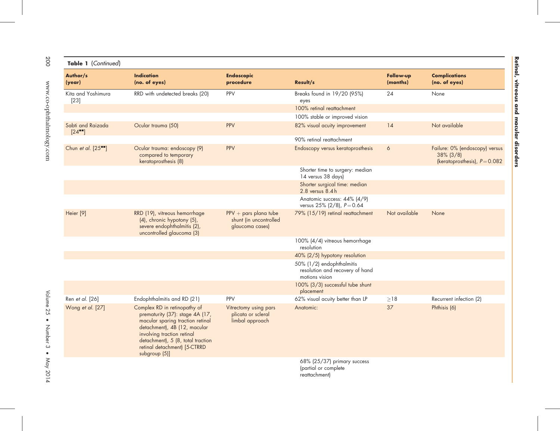| Table 1 (Continued)            |                                                                                                                                                                                                                                                         |                                                                      |                                                                                |                       |                                                                                   |
|--------------------------------|---------------------------------------------------------------------------------------------------------------------------------------------------------------------------------------------------------------------------------------------------------|----------------------------------------------------------------------|--------------------------------------------------------------------------------|-----------------------|-----------------------------------------------------------------------------------|
| Author/s<br>(year)             | <b>Indication</b><br>(no. of eyes)                                                                                                                                                                                                                      | <b>Endoscopic</b><br>procedure                                       | Result/s                                                                       | Follow-up<br>(months) | <b>Complications</b><br>(no. of eyes)                                             |
| Kita and Yoshimura<br>$[23]$   | RRD with undetected breaks (20)                                                                                                                                                                                                                         | PPV                                                                  | Breaks found in 19/20 (95%)<br>eyes                                            | 24                    | None                                                                              |
|                                |                                                                                                                                                                                                                                                         |                                                                      | 100% retinal reattachment                                                      |                       |                                                                                   |
|                                |                                                                                                                                                                                                                                                         |                                                                      | 100% stable or improved vision                                                 |                       |                                                                                   |
| Sabti and Raizada<br>$[24$ $]$ | Ocular trauma (50)                                                                                                                                                                                                                                      | PPV                                                                  | 82% visual acuity improvement                                                  | 14                    | Not available                                                                     |
|                                |                                                                                                                                                                                                                                                         |                                                                      | 90% retinal reattachment                                                       |                       |                                                                                   |
| Chun et al. [25""]             | Ocular trauma: endoscopy (9)<br>compared to temporary<br>keratoprosthesis (8)                                                                                                                                                                           | <b>PPV</b>                                                           | Endoscopy versus keratoprosthesis                                              | 6                     | Failure: 0% (endoscopy) versus<br>$38\%$ (3/8)<br>(keratoprosthesis), $P = 0.082$ |
|                                |                                                                                                                                                                                                                                                         |                                                                      | Shorter time to surgery: median<br>14 versus 38 days)                          |                       |                                                                                   |
|                                |                                                                                                                                                                                                                                                         |                                                                      | Shorter surgical time: median<br>2.8 versus 8.4h                               |                       |                                                                                   |
|                                |                                                                                                                                                                                                                                                         |                                                                      | Anatomic success: 44% (4/9)<br>versus $25\%$ (2/8), $P = 0.64$                 |                       |                                                                                   |
| Heier <sup>[9]</sup>           | RRD (19), vitreous hemorrhage<br>(4), chronic hypotony (5),<br>severe endophthalmitis (2),<br>uncontrolled glaucoma (3)                                                                                                                                 | $PPV + pars$ plana tube<br>shunt (in uncontrolled<br>glaucoma cases) | 79% (15/19) retinal reattachment                                               | Not available         | None                                                                              |
|                                |                                                                                                                                                                                                                                                         |                                                                      | 100% (4/4) vitreous hemorrhage<br>resolution                                   |                       |                                                                                   |
|                                |                                                                                                                                                                                                                                                         |                                                                      | 40% (2/5) hypotony resolution                                                  |                       |                                                                                   |
|                                |                                                                                                                                                                                                                                                         |                                                                      | 50% (1/2) endophthalmitis<br>resolution and recovery of hand<br>motions vision |                       |                                                                                   |
|                                |                                                                                                                                                                                                                                                         |                                                                      | 100% (3/3) successful tube shunt<br>placement                                  |                       |                                                                                   |
| Ren et al. [26]                | Endophthalmitis and RD (21)                                                                                                                                                                                                                             | PPV                                                                  | 62% visual acuity better than LP                                               | $\geq$ 18             | Recurrent infection (2)                                                           |
| Wong et al. [27]               | Complex RD in retinopathy of<br>prematurity (37): stage 4A (17,<br>macular sparing traction retinal<br>detachment), 4B (12, macular<br>involving traction retinal<br>detachment), 5 (8, total traction<br>retinal detachment) [5-CTRRD<br>subgroup (5)] | Vitrectomy using pars<br>plicata or scleral<br>limbal approach       | Anatomic:                                                                      | 37                    | Phthisis (6)                                                                      |
|                                |                                                                                                                                                                                                                                                         |                                                                      | 68% (25/37) primary success<br>(partial or complete                            |                       |                                                                                   |

reattachment)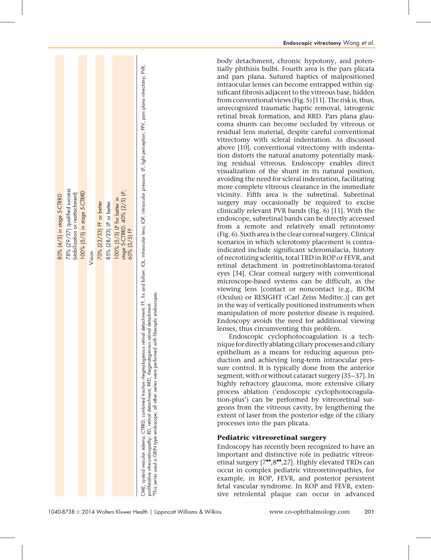| 80% (4/5) in stage 5-CTRRD                                                                                                                                                                                                                                                                                                                                                                                                         |  |
|------------------------------------------------------------------------------------------------------------------------------------------------------------------------------------------------------------------------------------------------------------------------------------------------------------------------------------------------------------------------------------------------------------------------------------|--|
| 78% (29/37) qualified success<br>(stabilization or reattachment)                                                                                                                                                                                                                                                                                                                                                                   |  |
| 100% (5/5) in stage 5-CTRRD                                                                                                                                                                                                                                                                                                                                                                                                        |  |
| Vision                                                                                                                                                                                                                                                                                                                                                                                                                             |  |
| 70% (23/33) FF or better                                                                                                                                                                                                                                                                                                                                                                                                           |  |
| 85% (28/23) LP or better                                                                                                                                                                                                                                                                                                                                                                                                           |  |
| stage 5-CTRRD: 40% (2/5) LP,<br>100% (5/5) LP for better in                                                                                                                                                                                                                                                                                                                                                                        |  |
| 60% (3/5) FF                                                                                                                                                                                                                                                                                                                                                                                                                       |  |
| CME, cystoid macular edema; CTRRD, combined traction thegmatogenous retinal detachment; FF, fix and follow; IOL, intraccular lens; IOP, intraccular pressure; LP, light perception; PPV, pars plana vitrectomy; PVR,<br>with fiberoptic endoscopes.<br>proliferative vitreoretinopathy; RD, retinal detachment; RRD, rhegmatogenous retinal detachment.<br>This series used a GRIN type endoscope; all other series were performed |  |

body detachment, chronic hypotony, and potentially phthisis bulbi. Fourth area is the pars plicata and pars plana. Sutured haptics of malpositioned intraocular lenses can become entrapped within significant fibrosis adjacent to the vitreous base, hidden from conventional views (Fig. 5) [\[11\]](#page-11-0). The risk is, thus, unrecognized traumatic haptic removal, iatrogenic retinal break formation, and RRD. Pars plana glaucoma shunts can become occluded by vitreous or residual lens material, despite careful conventional vitrectomy with scleral indentation. As discussed above [\[10\],](#page-11-0) conventional vitrectomy with indentation distorts the natural anatomy potentially masking residual vitreous. Endoscopy enables direct visualization of the shunt in its natural position, avoiding the need for scleral indentation, facilitating more complete vitreous clearance in the immediate vicinity. Fifth area is the subretinal. Subretinal surgery may occasionally be required to excise clinically relevant PVR bands (Fig. 6) [\[11\]](#page-11-0). With the endoscope, subretinal bands can be directly accessed from a remote and relatively small retinotomy (Fig. 6). Sixth area is the clear corneal surgery. Clinical scenarios in which sclerotomy placement is contraindicated include significant scleromalacia, history of necrotizing scleritis, total TRD in ROP or FEVR, and retinal detachment in postretinoblastoma-treated eyes [\[34\]](#page-11-0). Clear corneal surgery with conventional microscope-based systems can be difficult, as the viewing lens [contact or noncontact (e.g., BIOM (Oculus) or RESIGHT (Carl Zeiss Meditec.)] can get in the way of vertically positioned instruments when manipulation of more posterior disease is required. Endoscopy avoids the need for additional viewing lenses, thus circumventing this problem.

Endoscopic vitrectomy Wong et al.

Endoscopic cyclophotocoagulation is a technique for directly ablating ciliary processes and ciliary epithelium as a means for reducing aqueous production and achieving long-term intraocular pressure control. It is typically done from the anterior segment, with or without cataract surgery [\[35–37\]](#page-11-0). In highly refractory glaucoma, more extensive ciliary process ablation ('endoscopic cyclophotocoagulation-plus') can be performed by vitreoretinal surgeons from the vitreous cavity, by lengthening the extent of laser from the posterior edge of the ciliary processes into the pars plicata.

## Pediatric vitreoretinal surgery

Endoscopy has recently been recognized to have an important and distinctive role in pediatric vitreoretinal surgery  $[7^{\bullet\bullet},8^{\bullet\bullet},27]$  $[7^{\bullet\bullet},8^{\bullet\bullet},27]$  $[7^{\bullet\bullet},8^{\bullet\bullet},27]$  $[7^{\bullet\bullet},8^{\bullet\bullet},27]$  $[7^{\bullet\bullet},8^{\bullet\bullet},27]$ . Highly elevated TRDs can occur in complex pediatric vitreoretinopathies, for example, in ROP, FEVR, and posterior persistent fetal vascular syndrome. In ROP and FEVR, extensive retrolental plaque can occur in advanced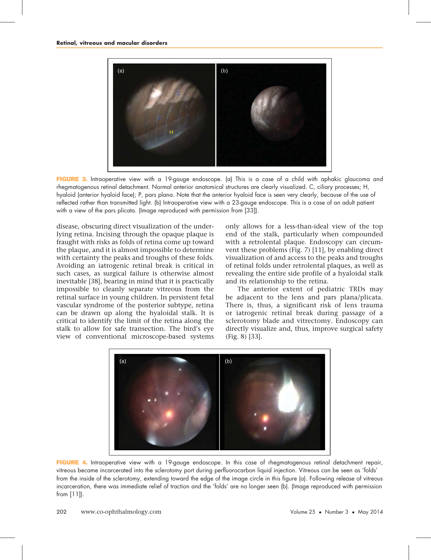

FIGURE 3. Intraoperative view with a 19-gauge endoscope. (a) This is a case of a child with aphakic glaucoma and rhegmatogenous retinal detachment. Normal anterior anatomical structures are clearly visualized. C, ciliary processes; H, hyaloid (anterior hyaloid face); P, pars plana. Note that the anterior hyaloid face is seen very clearly, because of the use of reflected rather than transmitted light. (b) Intraoperative view with a 23-gauge endoscope. This is a case of an adult patient with a view of the pars plicata. (Image reproduced with permission from [\[33\]](#page-11-0)).

disease, obscuring direct visualization of the underlying retina. Incising through the opaque plaque is fraught with risks as folds of retina come up toward the plaque, and it is almost impossible to determine with certainty the peaks and troughs of these folds. Avoiding an iatrogenic retinal break is critical in such cases, as surgical failure is otherwise almost inevitable [\[38\],](#page-11-0) bearing in mind that it is practically impossible to cleanly separate vitreous from the retinal surface in young children. In persistent fetal vascular syndrome of the posterior subtype, retina can be drawn up along the hyaloidal stalk. It is critical to identify the limit of the retina along the stalk to allow for safe transection. The bird's eye view of conventional microscope-based systems

only allows for a less-than-ideal view of the top end of the stalk, particularly when compounded with a retrolental plaque. Endoscopy can circumvent these problems (Fig. 7) [\[11\]](#page-11-0), by enabling direct visualization of and access to the peaks and troughs of retinal folds under retrolental plaques, as well as revealing the entire side profile of a hyaloidal stalk and its relationship to the retina.

The anterior extent of pediatric TRDs may be adjacent to the lens and pars plana/plicata. There is, thus, a significant risk of lens trauma or iatrogenic retinal break during passage of a sclerotomy blade and vitrectomy. Endoscopy can directly visualize and, thus, improve surgical safety (Fig. 8) [\[33\].](#page-11-0)



FIGURE 4. Intraoperative view with a 19-gauge endoscope. In this case of rhegmatogenous retinal detachment repair, vitreous became incarcerated into the sclerotomy port during perfluorocarbon liquid injection. Vitreous can be seen as 'folds' from the inside of the sclerotomy, extending toward the edge of the image circle in this figure (a). Following release of vitreous incarceration, there was immediate relief of traction and the 'folds' are no longer seen (b). (Image reproduced with permission from [\[11\]\)](#page-11-0).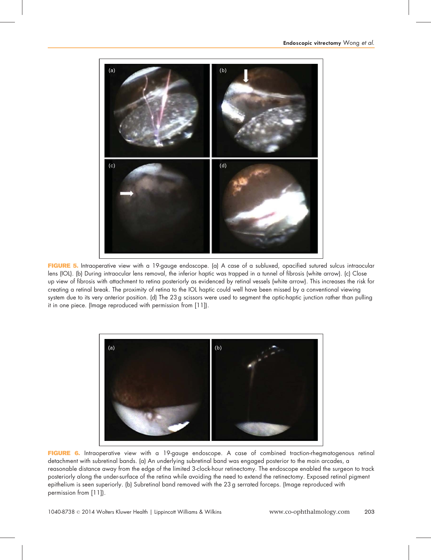

FIGURE 5. Intraoperative view with a 19-gauge endoscope. (a) A case of a subluxed, opacified sutured sulcus intraocular lens (IOL). (b) During intraocular lens removal, the inferior haptic was trapped in a tunnel of fibrosis (white arrow). (c) Close up view of fibrosis with attachment to retina posteriorly as evidenced by retinal vessels (white arrow). This increases the risk for creating a retinal break. The proximity of retina to the IOL haptic could well have been missed by a conventional viewing system due to its very anterior position. (d) The 23 g scissors were used to segment the optic-haptic junction rather than pulling it in one piece. (Image reproduced with permission from [\[11\]](#page-11-0)).



FIGURE 6. Intraoperative view with a 19-gauge endoscope. A case of combined traction-rhegmatogenous retinal detachment with subretinal bands. (a) An underlying subretinal band was engaged posterior to the main arcades, a reasonable distance away from the edge of the limited 3-clock-hour retinectomy. The endoscope enabled the surgeon to track posteriorly along the under-surface of the retina while avoiding the need to extend the retinectomy. Exposed retinal pigment epithelium is seen superiorly. (b) Subretinal band removed with the 23 g serrated forceps. (Image reproduced with permission from [\[11\]](#page-11-0)).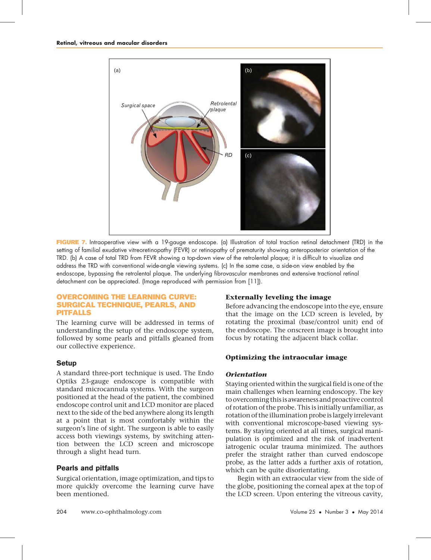

FIGURE 7. Intraoperative view with a 19-gauge endoscope. (a) Illustration of total traction retinal detachment (TRD) in the setting of familial exudative vitreoretinopathy (FEVR) or retinopathy of prematurity showing anteroposterior orientation of the TRD. (b) A case of total TRD from FEVR showing a top-down view of the retrolental plaque; it is difficult to visualize and address the TRD with conventional wide-angle viewing systems. (c) In the same case, a side-on view enabled by the endoscope, bypassing the retrolental plaque. The underlying fibrovascular membranes and extensive tractional retinal detachment can be appreciated. (Image reproduced with permission from [\[11\]\)](#page-11-0).

## OVERCOMING THE LEARNING CURVE: SURGICAL TECHNIQUE, PEARLS, AND PITFALLS

The learning curve will be addressed in terms of understanding the setup of the endoscope system, followed by some pearls and pitfalls gleaned from our collective experience.

## **Setup**

A standard three-port technique is used. The Endo Optiks 23-gauge endoscope is compatible with standard microcannula systems. With the surgeon positioned at the head of the patient, the combined endoscope control unit and LCD monitor are placed next to the side of the bed anywhere along its length at a point that is most comfortably within the surgeon's line of sight. The surgeon is able to easily access both viewings systems, by switching attention between the LCD screen and microscope through a slight head turn.

## Pearls and pitfalls

Surgical orientation, image optimization, and tips to more quickly overcome the learning curve have been mentioned.

## Externally leveling the image

Before advancing the endoscope into the eye, ensure that the image on the LCD screen is leveled, by rotating the proximal (base/control unit) end of the endoscope. The onscreen image is brought into focus by rotating the adjacent black collar.

## Optimizing the intraocular image

## **Orientation**

Staying oriented within the surgical field is one of the main challenges when learning endoscopy. The key to overcoming this is awareness and proactive control of rotation of the probe. This is initially unfamiliar, as rotation of the illumination probe is largely irrelevant with conventional microscope-based viewing systems. By staying oriented at all times, surgical manipulation is optimized and the risk of inadvertent iatrogenic ocular trauma minimized. The authors prefer the straight rather than curved endoscope probe, as the latter adds a further axis of rotation, which can be quite disorientating.

Begin with an extraocular view from the side of the globe, positioning the corneal apex at the top of the LCD screen. Upon entering the vitreous cavity,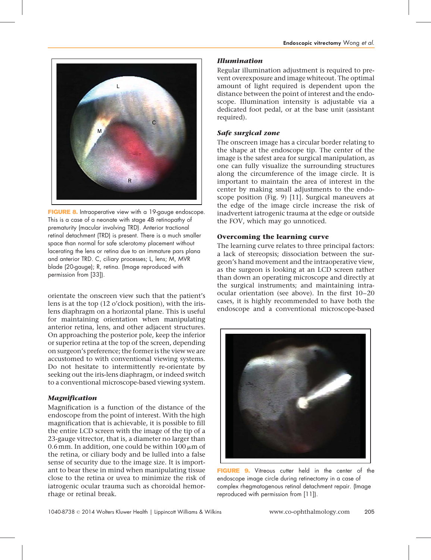

FIGURE 8. Intraoperative view with a 19-gauge endoscope. This is a case of a neonate with stage 4B retinopathy of prematurity (macular involving TRD). Anterior tractional retinal detachment (TRD) is present. There is a much smaller space than normal for safe sclerotomy placement without lacerating the lens or retina due to an immature pars plana and anterior TRD. C, ciliary processes; L, lens; M, MVR blade (20-gauge); R, retina. (Image reproduced with permission from [\[33\]](#page-11-0)).

orientate the onscreen view such that the patient's lens is at the top (12 o'clock position), with the irislens diaphragm on a horizontal plane. This is useful for maintaining orientation when manipulating anterior retina, lens, and other adjacent structures. On approaching the posterior pole, keep the inferior or superior retina at the top of the screen, depending on surgeon's preference; the former is the view we are accustomed to with conventional viewing systems. Do not hesitate to intermittently re-orientate by seeking out the iris-lens diaphragm, or indeed switch to a conventional microscope-based viewing system.

## Magnification

Magnification is a function of the distance of the endoscope from the point of interest. With the high magnification that is achievable, it is possible to fill the entire LCD screen with the image of the tip of a 23-gauge vitrector, that is, a diameter no larger than 0.6 mm. In addition, one could be within  $100 \mu m$  of the retina, or ciliary body and be lulled into a false sense of security due to the image size. It is important to bear these in mind when manipulating tissue close to the retina or uvea to minimize the risk of iatrogenic ocular trauma such as choroidal hemorrhage or retinal break.

## Illumination

Regular illumination adjustment is required to prevent overexposure and image whiteout. The optimal amount of light required is dependent upon the distance between the point of interest and the endoscope. Illumination intensity is adjustable via a dedicated foot pedal, or at the base unit (assistant required).

## Safe surgical zone

The onscreen image has a circular border relating to the shape at the endoscope tip. The center of the image is the safest area for surgical manipulation, as one can fully visualize the surrounding structures along the circumference of the image circle. It is important to maintain the area of interest in the center by making small adjustments to the endoscope position (Fig. 9) [\[11\].](#page-11-0) Surgical maneuvers at the edge of the image circle increase the risk of inadvertent iatrogenic trauma at the edge or outside the FOV, which may go unnoticed.

## Overcoming the learning curve

The learning curve relates to three principal factors: a lack of stereopsis; dissociation between the surgeon's hand movement and the intraoperative view, as the surgeon is looking at an LCD screen rather than down an operating microscope and directly at the surgical instruments; and maintaining intraocular orientation (see above). In the first 10–20 cases, it is highly recommended to have both the endoscope and a conventional microscope-based



**FIGURE 9.** Vitreous cutter held in the center of the endoscope image circle during retinectomy in a case of complex rhegmatogenous retinal detachment repair. (Image reproduced with permission from [\[11\]\)](#page-11-0).